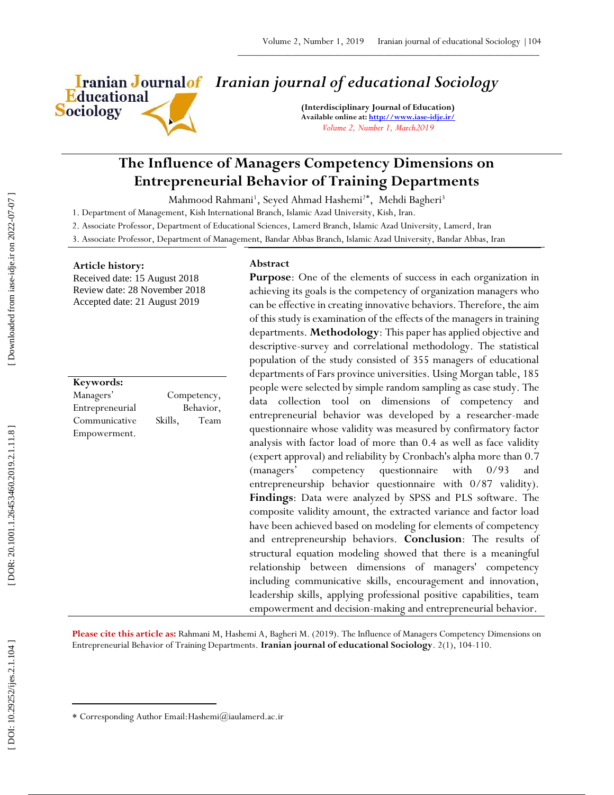Educational **Sociology** 

# *Iranian journal of educational Sociology*

**(Interdisciplinary Journal of Education) Available online at[: http://www.iase](http://www.iase-idje.ir/) -idje.ir/** *Volume 2, Number 1, March2019*

## **The Influence of Managers Competency Dimensions on Entrepreneurial Behavior of Training Departments**

Mahmood Rahmani<sup>1</sup>, Seyed Ahmad Hashemi<sup>2\*</sup>, Mehdi Bagheri<sup>3</sup>

1. Department of Management, Kish International Branch, Islamic Azad University, Kish , Iran.

2. Associate Professor, Department of Educational Sciences, Lamerd Branch, Islamic Azad University, Lamerd , Iran

3. Associate Professor, Department of Management, Bandar Abbas Branch, Islamic Azad University, Bandar Abbas, Iran

## **Article history:**

Received date: 15 August 2018 Review date: 28 November 2018 Accepted date: 21 August 2019

**Keywords:** Managers' Competency, Entrepreneurial Behavior, Communicative Skills, Team Empowerment.

#### **Abstract**

**Purpose**: One of the elements of success in each organization in achieving its goals is the competency of organization managers who can be effective in creating innovative behaviors. Therefore, the aim of this study is examination of the effects of the managers in training departments. **Methodology**: This paper has applied objective and descriptive -survey and correlational methodology. The statistical population of the study consisted of 355 managers of educational departments of Fars province universities. Using Morgan table, 185 people were selected by simple random sampling as case study. The data collection tool on dimensions of competency and entrepreneurial behavior was developed by a researcher -made questionnaire whose validity was measured by confirmatory factor analysis with factor load of more than 0.4 as well as face validity (expert approval) and reliability by Cronbach's alpha more than 0.7 (managers' competency questionnaire with 0/93 and entrepreneurship behavior questionnaire with 0/87 validity). **Findings**: Data were analyzed by SPSS and PLS software. The composite validity amount, the extracted variance and factor load have been achieved based on modeling for elements of competency and entrepreneurship behaviors. **Conclusion**: The results of structural equation modeling showed that there is a meaningful relationship between dimensions of managers' competency including communicative skills, encouragement and innovation, leadership skills, applying professional positive capabilities, team empowerment and decision -making and entrepreneurial behavior.

Please cite this article as: Rahmani M, Hashemi A, Bagheri M. (2019). The Influence of Managers Competency Dimensions on Entrepreneurial Behavior of Training Departments. **Iranian journal of educational Sociology**. 2 ( 1), 10 4 -110.

 $\overline{\phantom{a}}$ 

Corresponding Author Email:Hashemi@iaulamerd.ac.ir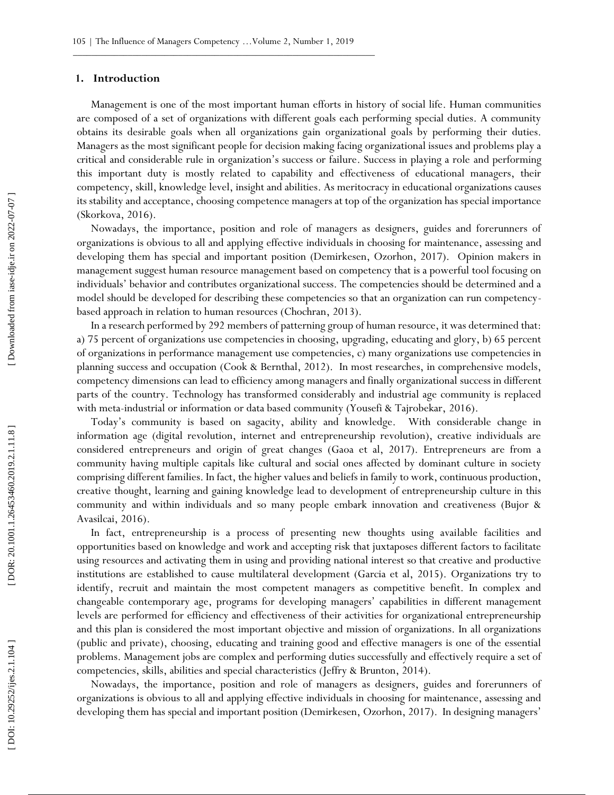## **1. Introduction**

Management is one of the most important human efforts in history of social life. Human communities are composed of a set of organizations with different goals each performing special duties. A community obtains its desirable goals when all organizations gain organizational goals by performing their duties. Managers as the most significant people for decision making facing organizational issues and problems play a critical and considerable rule in organization's success or failure. Success in playing a role and performing this important duty is mostly related to capability and effectiveness of educational managers, their competency, skill, knowledge level, insight and abilities. As meritocracy in educational organizations causes its stability and acceptance, choosing competence managers at top of the organization has special importance (Skorkova, 2016).

Nowadays, the importance, position and role of managers as designers, guides and forerunners of organizations is obvious to all and applying effective individuals in choosing for maintenance, assessing and developing them has special and important position (Demirkesen, Ozorhon, 2017). Opinion makers in management suggest human resource management based on competency that is a powerful tool focusing on individuals' behavior and contributes organizational success. The competencies should be determined and a model should be developed for describing these competencies so that an organization can run competency based approach in relation to human resources (Chochran, 2013).

In a research performed by 292 members of patterning group of human resource, it was determined that: a) 75 percent of organizations use competencies in choosing, upgrading, educating and glory, b) 65 percent of organizations in performance management use competencies, c) many organizations use competencies in planning success and occupation (Cook & Bernthal, 2012). In most researches, in comprehensive models, competency dimensions can lead to efficiency among managers and finally organizational success in different parts of the country. Technology has transformed considerably and industrial age community is replaced with meta -industrial or information or data based community (Yousefi & Tajrobekar, 2016).

Today's community is based on sagacity, ability and knowledge. With considerable change in information age (digital revolution, internet and entrepreneurship revolution), creative individuals are considered entrepreneurs and origin of great changes (Gaoa et al, 2017). Entrepreneurs are from a community having multiple capitals like cultural and social ones affected by dominant culture in society comprising different families. In fact, the higher values and beliefs in family to work, continuous production, creative thought, learning and gaining knowledge lead to development of entrepreneurship culture in this community and within individuals and so many people embark innovation and creativeness (Bujor & Avasilcai, 2016).

In fact, entrepreneurship is a process of presenting new thoughts using available facilities and opportunities based on knowledge and work and accepting risk that juxtaposes different factors to facilitate using resources and activating them in using and providing national interest so that creative and productive institutions are established to cause multilateral development (Garcia et al, 2015). Organizations try to identify, recruit and maintain the most competent managers as competitive benefit. In complex and changeable contemporary age, programs for developing managers' capabilities in different management levels are performed for efficiency and effectiveness of their activities for organizational entrepreneurship and this plan is considered the most important objective and mission of organizations. In all organizations (public and private), choosing, educating and training good and effective managers is one of the essential problems. Management jobs are complex and performing duties successfully and effectively require a set of competencies, skills, abilities and special characteristics (Jeffry & Brunton, 2014).

Nowadays, the importance, position and role of managers as designers, guides and forerunners of organizations is obvious to all and applying effective individuals in choosing for maintenance, assessing and developing them has special and important position (Demirkesen, Ozorhon, 2017). In designing managers'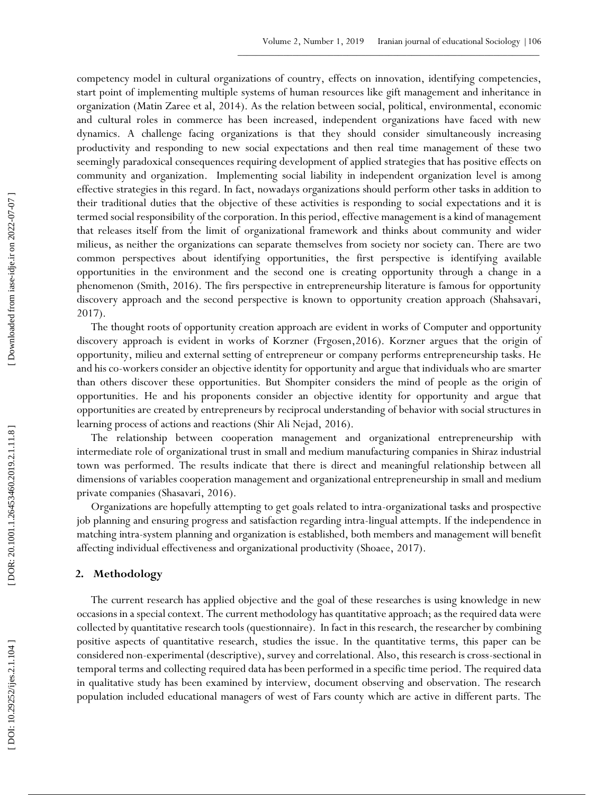competency model in cultural organizations of country, effects on innovation, identifying competencies, start point of implementing multiple systems of human resources like gift management and inheritance in organization (Matin Zaree et al, 2014). As the relation between social, political, environmental, economic and cultural roles in commerce has been increased, independent organizations have faced with new dynamics. A challenge facing organizations is that they should consider simultaneously increasing productivity and responding to new social expectations and then real time management of these two seemingly paradoxical consequences requiring development of applied strategies that has positive effects on community and organization. Implementing social liability in independent organization level is among effective strategies in this regard. In fact, nowadays organizations should perform other tasks in addition to their traditional duties that the objective of these activities is responding to social expectations and it is termed social responsibility of the corporation. In this period, effective management is a kind of management that releases itself from the limit of organizational framework and thinks about community and wider milieus, as neither the organizations can separate themselves from society nor society can. There are two common perspectives about identifying opportunities, the first perspective is identifying available opportunities in the environment and the second one is creating opportunity through a change in a phenomenon (Smith, 2016). The firs perspective in entrepreneurship literature is famous for opportunity discovery approach and the second perspective is known to opportunity creation approach (Shahsavari, 2017).

The thought roots of opportunity creation approach are evident in works of Computer and opportunity discovery approach is evident in works of Korzner (Frgosen ,2016). Korzner argues that the origin of opportunity, milieu and external setting of entrepreneur or company performs entrepreneurship tasks. He and his co -workers consider an objective identity for opportunity and argue that individuals who are smarter than others discover these opportunities. But Shompiter considers the mind of people as the origin of opportunities. He and his proponents consider an objective identity for opportunity and argue that opportunities are created by entrepreneurs by reciprocal understanding of behavior with social structures in learning process of actions and reactions (Shir Ali Nejad, 2016).

The relationship between cooperation management and organizational entrepreneurship with intermediate role of organizational trust in small and medium manufacturing companies in Shiraz industrial town was performed. The results indicate that there is direct and meaningful relationship between all dimensions of variables cooperation management and organizational entrepreneurship in small and medium private companies (Shasavari, 2016).

Organizations are hopefully attempting to get goals related to intra -organizational tasks and prospective job planning and ensuring progress and satisfaction regarding intra -lingual attempts. If the independence in matching intra -system planning and organization is established, both members and management will benefit affecting individual effectiveness and organizational productivity (Shoaee, 2017).

## **2. Methodology**

The current research has applied objective and the goal of these researches is using knowledge in new occasions in a special context. The current methodology has quantitative approach; as the required data were collected by quantitative research tools (questionnaire). In fact in this research, the researcher by combining positive aspects of quantitative research, studies the issue. In the quantitative terms, this paper can be considered non -experimental (descriptive), survey and correlational. Also, this research is cross -sectional in temporal terms and collecting required data has been performed in a specific time period. The required data in qualitative study has been examined by interview, document observing and observation. The research population included educational managers of west of Fars county which are active in different parts. The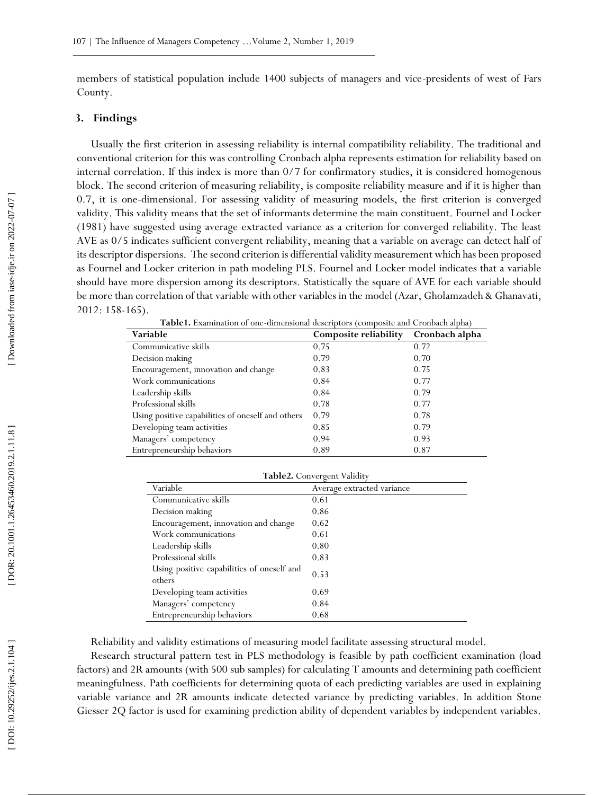members of statistical population include 1400 subjects of managers and vice -presidents of west of Fars County.

## **3. Findings**

Usually the first criterion in assessing reliability is internal compatibility reliability. The traditional and conventional criterion for this was controlling Cronbach alpha represents estimation for reliability based on internal correlation. If this index is more than 0/7 for confirmatory studies, it is considered homogenous block. The second criterion of measuring reliability, is composite reliability measure and if it is higher than 0.7, it is one -dimensional. For assessing validity of measuring models, the first criterion is converged validity. This validity means that the set of informants determine the main constituent. Fournel and Locker (1981) have suggested using average extracted variance as a criterion for converged reliability. The least AVE as 0/5 indicates sufficient convergent reliability, meaning that a variable on average can detect half of its descriptor dispersions. The second criterion is differential validity measurement which has been proposed as Fournel and Locker criterion in path modeling PLS. Fournel and Locker model indicates that a variable should have more dispersion among its descriptors. Statistically the square of AVE for each variable should be more than correlation of that variable with other variables in the model (Azar, Gholamzadeh & Ghanavati, 2012: 158 -165).

**Table 1.** Examination of one -dimensional descriptors (composite and Cronbach alpha)

| Variable                                          | Composite reliability | Cronbach alpha |
|---------------------------------------------------|-----------------------|----------------|
| Communicative skills                              | 0.75                  | 0.72           |
| Decision making                                   | 0.79                  | 0.70           |
| Encouragement, innovation and change              | 0.83                  | 0.75           |
| Work communications                               | 0.84                  | 0.77           |
| Leadership skills                                 | 0.84                  | 0.79           |
| Professional skills                               | 0.78                  | 0.77           |
| Using positive capabilities of oneself and others | 0.79                  | 0.78           |
| Developing team activities                        | 0.85                  | 0.79           |
| Managers' competency                              | 0.94                  | 0.93           |
| Entrepreneurship behaviors                        | 0.89                  | 0.87           |

| Table2. Convergent Validity                          |                            |  |
|------------------------------------------------------|----------------------------|--|
| Variable                                             | Average extracted variance |  |
| Communicative skills                                 | 0.61                       |  |
| Decision making                                      | 0.86                       |  |
| Encouragement, innovation and change                 | 0.62                       |  |
| Work communications                                  | 0.61                       |  |
| Leadership skills                                    | 0.80                       |  |
| Professional skills                                  | 0.83                       |  |
| Using positive capabilities of oneself and<br>others | 0.53                       |  |
| Developing team activities                           | 0.69                       |  |
| Managers' competency                                 | 0.84                       |  |
| Entrepreneurship behaviors                           | 0.68                       |  |

Reliability and validity estimations of measuring model facilitate assessing structural model.

Research structural pattern test in PLS methodology is feasible by path coefficient examination (load factors) and 2R amounts (with 500 sub samples) for calculating T amounts and determining path coefficient meaningfulness. Path coefficients for determining quota of each predicting variables are used in explaining variable variance and 2R amounts indicate detected variance by predicting variables. In addition Stone Giesser 2Q factor is used for examining prediction ability of dependent variables by independent variables.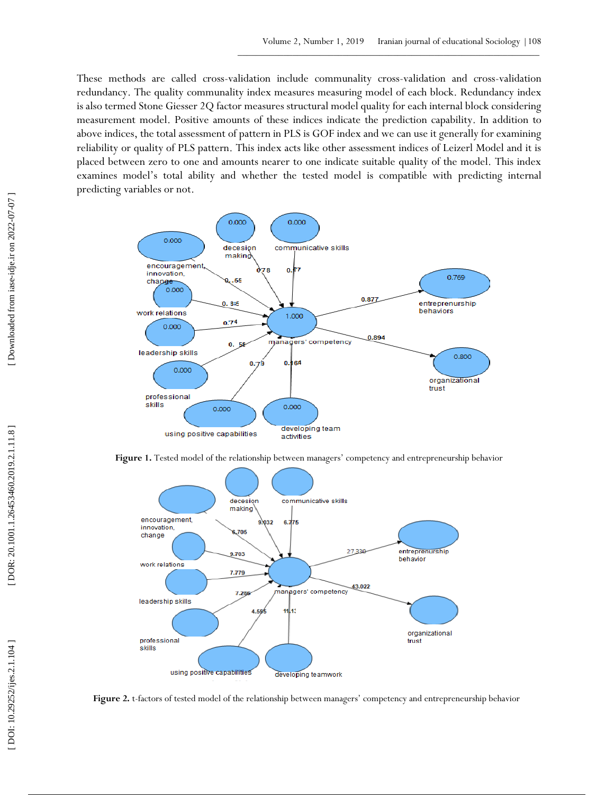These methods are called cross -validation include communality cross -validation and cross -validation redundancy. The quality communality index measures measuring model of each block. Redundancy index is also termed Stone Giesser 2Q factor measures structural model quality for each internal block considering measurement model. Positive amounts of these indices indicate the prediction capability. In addition to above indices, the total assessment of pattern in PLS is GOF index and we can use it generally for examining reliability or quality of PLS pattern. This index acts like other assessment indices of Leizerl Model and it is placed between zero to one and amounts nearer to one indicate suitable quality of the model. This index examines model's total ability and whether the tested model is compatible with predicting internal predicting variables or not.



**Figure 1.** Tested model of the relationship between managers' competency and entrepreneurship behavior



Figure 2. t-factors of tested model of the relationship between managers' competency and entrepreneurship behavior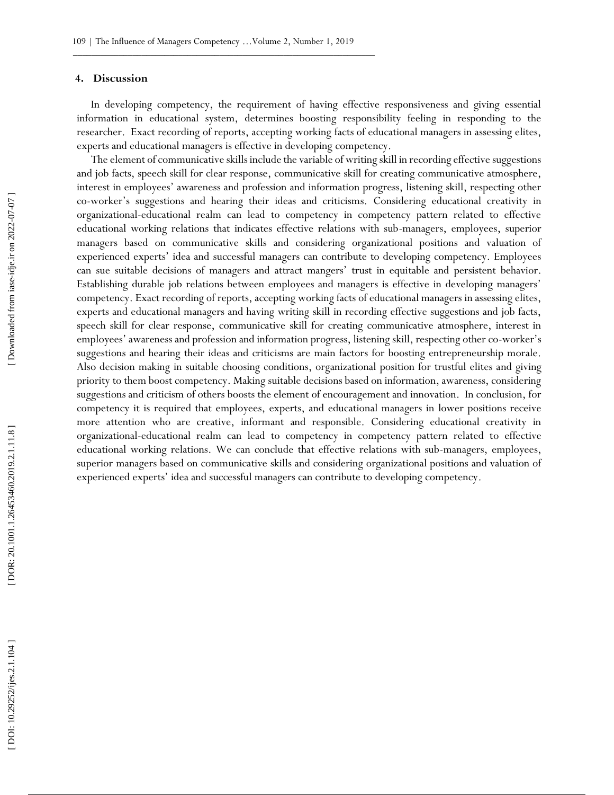### **4. Discussion**

In developing competency, the requirement of having effective responsiveness and giving essential information in educational system, determines boosting responsibility feeling in responding to the researcher. Exact recording of reports, accepting working facts of educational managers in assessing elites, experts and educational managers is effective in developing competency.

The element of communicative skills include the variable of writing skill in recording effective suggestions and job facts, speech skill for clear response, communicative skill for creating communicative atmosphere, interest in employees' awareness and profession and information progress, listening skill, respecting other co -worker's suggestions and hearing their ideas and criticisms. Considering educational creativity in organizational -educational realm can lead to competency in competency pattern related to effective educational working relations that indicates effective relations with sub -managers, employees, superior managers based on communicative skills and considering organizational positions and valuation of experienced experts' idea and successful managers can contribute to developing competency. Employees can sue suitable decisions of managers and attract mangers' trust in equitable and persistent behavior. Establishing durable job relations between employees and managers is effective in developing managers' competency. Exact recording of reports, accepting working facts of educational managers in assessing elites, experts and educational managers and having writing skill in recording effective suggestions and job facts, speech skill for clear response, communicative skill for creating communicative atmosphere, interest in employees' awareness and profession and information progress, listening skill, respecting other co -worker's suggestions and hearing their ideas and criticisms are main factors for boosting entrepreneurship morale. Also decision making in suitable choosing conditions, organizational position for trustful elites and giving priority to them boost competency. Making suitable decisions based on information, awareness, considering suggestions and criticism of others boosts the element of encouragement and innovation. In conclusion, for competency it is required that employees, experts, and educational managers in lower positions receive more attention who are creative, informant and responsible. Considering educational creativity in organizational -educational realm can lead to competency in competency pattern related to effective educational working relations. We can conclude that effective relations with sub -managers, employees, superior managers based on communicative skills and considering organizational positions and valuation of expertsions and harming their interimate the successful managers can contribute the successful managers has developing compensations of the managers has developing compensations of the managers has developing compensation